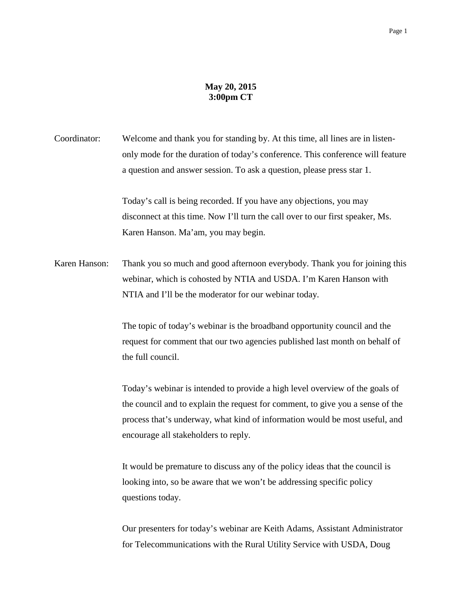## **May 20, 2015 3:00pm CT**

Coordinator: Welcome and thank you for standing by. At this time, all lines are in listenonly mode for the duration of today's conference. This conference will feature a question and answer session. To ask a question, please press star 1.

> Today's call is being recorded. If you have any objections, you may disconnect at this time. Now I'll turn the call over to our first speaker, Ms. Karen Hanson. Ma'am, you may begin.

Karen Hanson: Thank you so much and good afternoon everybody. Thank you for joining this webinar, which is cohosted by NTIA and USDA. I'm Karen Hanson with NTIA and I'll be the moderator for our webinar today.

> The topic of today's webinar is the broadband opportunity council and the request for comment that our two agencies published last month on behalf of the full council.

Today's webinar is intended to provide a high level overview of the goals of the council and to explain the request for comment, to give you a sense of the process that's underway, what kind of information would be most useful, and encourage all stakeholders to reply.

It would be premature to discuss any of the policy ideas that the council is looking into, so be aware that we won't be addressing specific policy questions today.

Our presenters for today's webinar are Keith Adams, Assistant Administrator for Telecommunications with the Rural Utility Service with USDA, Doug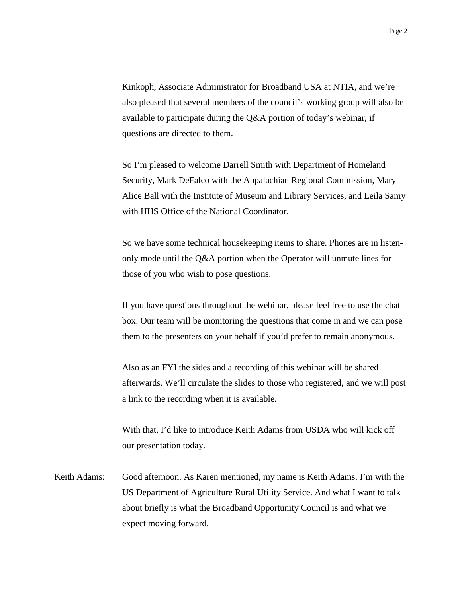Kinkoph, Associate Administrator for Broadband USA at NTIA, and we're also pleased that several members of the council's working group will also be available to participate during the Q&A portion of today's webinar, if questions are directed to them.

So I'm pleased to welcome Darrell Smith with Department of Homeland Security, Mark DeFalco with the Appalachian Regional Commission, Mary Alice Ball with the Institute of Museum and Library Services, and Leila Samy with HHS Office of the National Coordinator.

So we have some technical housekeeping items to share. Phones are in listenonly mode until the Q&A portion when the Operator will unmute lines for those of you who wish to pose questions.

If you have questions throughout the webinar, please feel free to use the chat box. Our team will be monitoring the questions that come in and we can pose them to the presenters on your behalf if you'd prefer to remain anonymous.

Also as an FYI the sides and a recording of this webinar will be shared afterwards. We'll circulate the slides to those who registered, and we will post a link to the recording when it is available.

With that, I'd like to introduce Keith Adams from USDA who will kick off our presentation today.

Keith Adams: Good afternoon. As Karen mentioned, my name is Keith Adams. I'm with the US Department of Agriculture Rural Utility Service. And what I want to talk about briefly is what the Broadband Opportunity Council is and what we expect moving forward.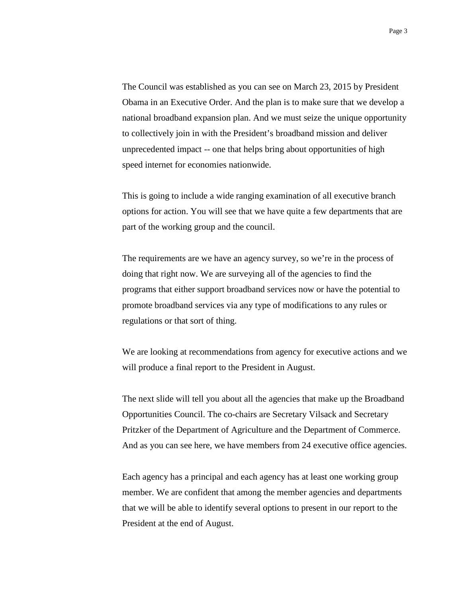The Council was established as you can see on March 23, 2015 by President Obama in an Executive Order. And the plan is to make sure that we develop a national broadband expansion plan. And we must seize the unique opportunity to collectively join in with the President's broadband mission and deliver unprecedented impact -- one that helps bring about opportunities of high speed internet for economies nationwide.

This is going to include a wide ranging examination of all executive branch options for action. You will see that we have quite a few departments that are part of the working group and the council.

The requirements are we have an agency survey, so we're in the process of doing that right now. We are surveying all of the agencies to find the programs that either support broadband services now or have the potential to promote broadband services via any type of modifications to any rules or regulations or that sort of thing.

We are looking at recommendations from agency for executive actions and we will produce a final report to the President in August.

The next slide will tell you about all the agencies that make up the Broadband Opportunities Council. The co-chairs are Secretary Vilsack and Secretary Pritzker of the Department of Agriculture and the Department of Commerce. And as you can see here, we have members from 24 executive office agencies.

Each agency has a principal and each agency has at least one working group member. We are confident that among the member agencies and departments that we will be able to identify several options to present in our report to the President at the end of August.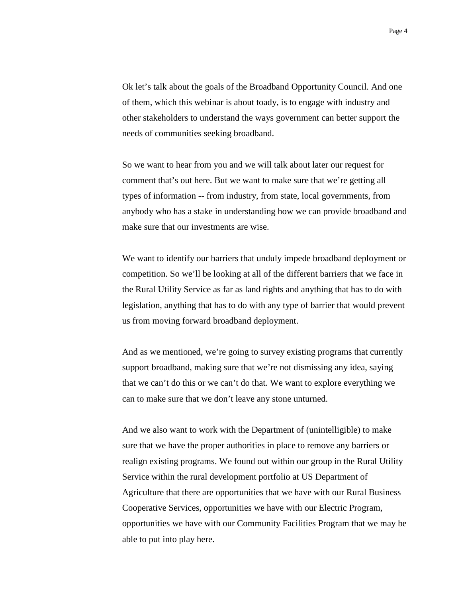Ok let's talk about the goals of the Broadband Opportunity Council. And one of them, which this webinar is about toady, is to engage with industry and other stakeholders to understand the ways government can better support the needs of communities seeking broadband.

So we want to hear from you and we will talk about later our request for comment that's out here. But we want to make sure that we're getting all types of information -- from industry, from state, local governments, from anybody who has a stake in understanding how we can provide broadband and make sure that our investments are wise.

We want to identify our barriers that unduly impede broadband deployment or competition. So we'll be looking at all of the different barriers that we face in the Rural Utility Service as far as land rights and anything that has to do with legislation, anything that has to do with any type of barrier that would prevent us from moving forward broadband deployment.

And as we mentioned, we're going to survey existing programs that currently support broadband, making sure that we're not dismissing any idea, saying that we can't do this or we can't do that. We want to explore everything we can to make sure that we don't leave any stone unturned.

And we also want to work with the Department of (unintelligible) to make sure that we have the proper authorities in place to remove any barriers or realign existing programs. We found out within our group in the Rural Utility Service within the rural development portfolio at US Department of Agriculture that there are opportunities that we have with our Rural Business Cooperative Services, opportunities we have with our Electric Program, opportunities we have with our Community Facilities Program that we may be able to put into play here.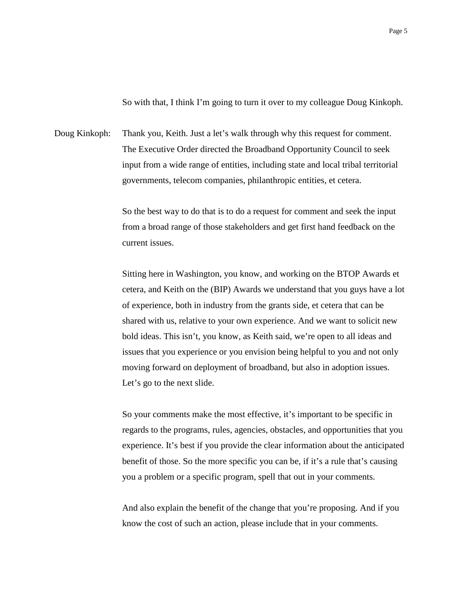So with that, I think I'm going to turn it over to my colleague Doug Kinkoph.

Doug Kinkoph: Thank you, Keith. Just a let's walk through why this request for comment. The Executive Order directed the Broadband Opportunity Council to seek input from a wide range of entities, including state and local tribal territorial governments, telecom companies, philanthropic entities, et cetera.

> So the best way to do that is to do a request for comment and seek the input from a broad range of those stakeholders and get first hand feedback on the current issues.

Sitting here in Washington, you know, and working on the BTOP Awards et cetera, and Keith on the (BIP) Awards we understand that you guys have a lot of experience, both in industry from the grants side, et cetera that can be shared with us, relative to your own experience. And we want to solicit new bold ideas. This isn't, you know, as Keith said, we're open to all ideas and issues that you experience or you envision being helpful to you and not only moving forward on deployment of broadband, but also in adoption issues. Let's go to the next slide.

So your comments make the most effective, it's important to be specific in regards to the programs, rules, agencies, obstacles, and opportunities that you experience. It's best if you provide the clear information about the anticipated benefit of those. So the more specific you can be, if it's a rule that's causing you a problem or a specific program, spell that out in your comments.

And also explain the benefit of the change that you're proposing. And if you know the cost of such an action, please include that in your comments.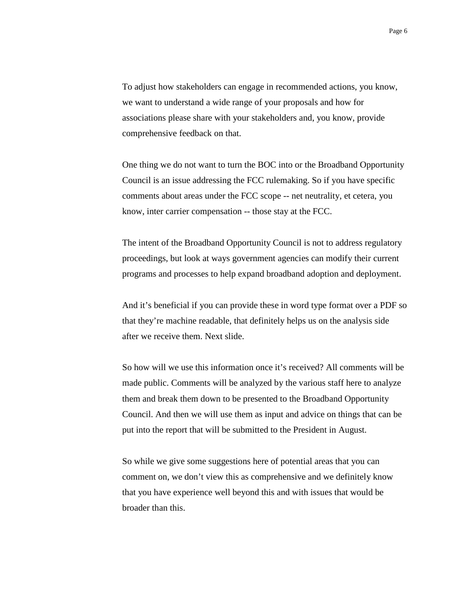To adjust how stakeholders can engage in recommended actions, you know, we want to understand a wide range of your proposals and how for associations please share with your stakeholders and, you know, provide comprehensive feedback on that.

One thing we do not want to turn the BOC into or the Broadband Opportunity Council is an issue addressing the FCC rulemaking. So if you have specific comments about areas under the FCC scope -- net neutrality, et cetera, you know, inter carrier compensation -- those stay at the FCC.

The intent of the Broadband Opportunity Council is not to address regulatory proceedings, but look at ways government agencies can modify their current programs and processes to help expand broadband adoption and deployment.

And it's beneficial if you can provide these in word type format over a PDF so that they're machine readable, that definitely helps us on the analysis side after we receive them. Next slide.

So how will we use this information once it's received? All comments will be made public. Comments will be analyzed by the various staff here to analyze them and break them down to be presented to the Broadband Opportunity Council. And then we will use them as input and advice on things that can be put into the report that will be submitted to the President in August.

So while we give some suggestions here of potential areas that you can comment on, we don't view this as comprehensive and we definitely know that you have experience well beyond this and with issues that would be broader than this.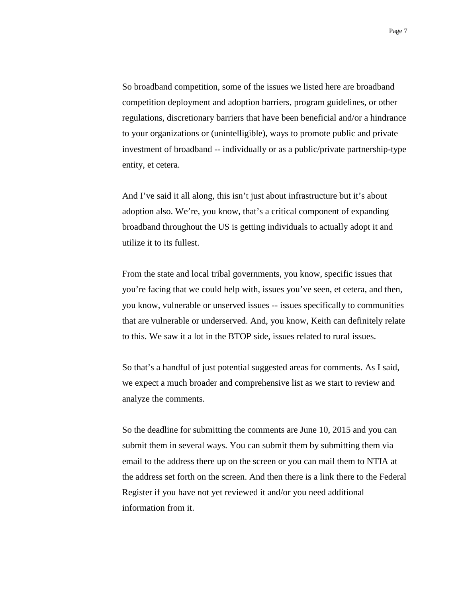So broadband competition, some of the issues we listed here are broadband competition deployment and adoption barriers, program guidelines, or other regulations, discretionary barriers that have been beneficial and/or a hindrance to your organizations or (unintelligible), ways to promote public and private investment of broadband -- individually or as a public/private partnership-type entity, et cetera.

And I've said it all along, this isn't just about infrastructure but it's about adoption also. We're, you know, that's a critical component of expanding broadband throughout the US is getting individuals to actually adopt it and utilize it to its fullest.

From the state and local tribal governments, you know, specific issues that you're facing that we could help with, issues you've seen, et cetera, and then, you know, vulnerable or unserved issues -- issues specifically to communities that are vulnerable or underserved. And, you know, Keith can definitely relate to this. We saw it a lot in the BTOP side, issues related to rural issues.

So that's a handful of just potential suggested areas for comments. As I said, we expect a much broader and comprehensive list as we start to review and analyze the comments.

So the deadline for submitting the comments are June 10, 2015 and you can submit them in several ways. You can submit them by submitting them via email to the address there up on the screen or you can mail them to NTIA at the address set forth on the screen. And then there is a link there to the Federal Register if you have not yet reviewed it and/or you need additional information from it.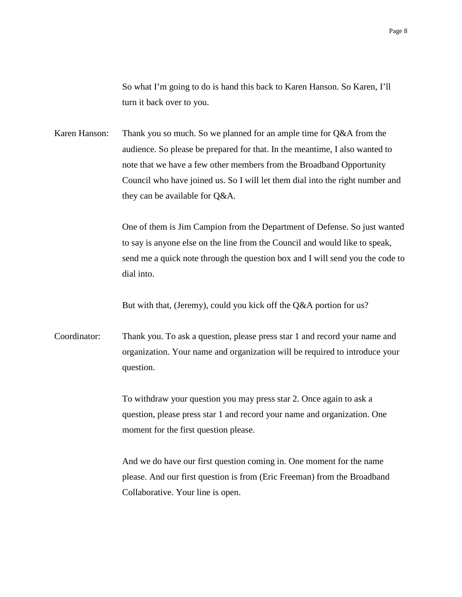So what I'm going to do is hand this back to Karen Hanson. So Karen, I'll turn it back over to you.

Karen Hanson: Thank you so much. So we planned for an ample time for Q&A from the audience. So please be prepared for that. In the meantime, I also wanted to note that we have a few other members from the Broadband Opportunity Council who have joined us. So I will let them dial into the right number and they can be available for Q&A.

> One of them is Jim Campion from the Department of Defense. So just wanted to say is anyone else on the line from the Council and would like to speak, send me a quick note through the question box and I will send you the code to dial into.

But with that, (Jeremy), could you kick off the Q&A portion for us?

Coordinator: Thank you. To ask a question, please press star 1 and record your name and organization. Your name and organization will be required to introduce your question.

> To withdraw your question you may press star 2. Once again to ask a question, please press star 1 and record your name and organization. One moment for the first question please.

And we do have our first question coming in. One moment for the name please. And our first question is from (Eric Freeman) from the Broadband Collaborative. Your line is open.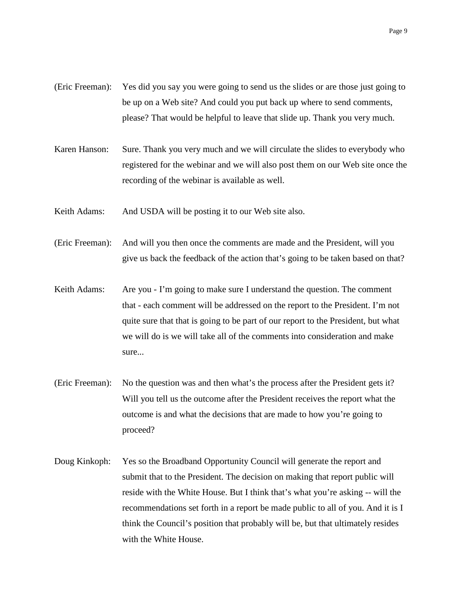- (Eric Freeman): Yes did you say you were going to send us the slides or are those just going to be up on a Web site? And could you put back up where to send comments, please? That would be helpful to leave that slide up. Thank you very much.
- Karen Hanson: Sure. Thank you very much and we will circulate the slides to everybody who registered for the webinar and we will also post them on our Web site once the recording of the webinar is available as well.
- Keith Adams: And USDA will be posting it to our Web site also.
- (Eric Freeman): And will you then once the comments are made and the President, will you give us back the feedback of the action that's going to be taken based on that?
- Keith Adams: Are you I'm going to make sure I understand the question. The comment that - each comment will be addressed on the report to the President. I'm not quite sure that that is going to be part of our report to the President, but what we will do is we will take all of the comments into consideration and make sure...
- (Eric Freeman): No the question was and then what's the process after the President gets it? Will you tell us the outcome after the President receives the report what the outcome is and what the decisions that are made to how you're going to proceed?
- Doug Kinkoph: Yes so the Broadband Opportunity Council will generate the report and submit that to the President. The decision on making that report public will reside with the White House. But I think that's what you're asking -- will the recommendations set forth in a report be made public to all of you. And it is I think the Council's position that probably will be, but that ultimately resides with the White House.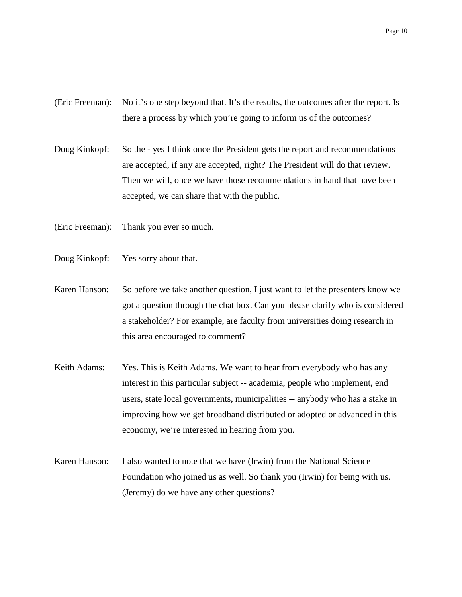- (Eric Freeman): No it's one step beyond that. It's the results, the outcomes after the report. Is there a process by which you're going to inform us of the outcomes?
- Doug Kinkopf: So the yes I think once the President gets the report and recommendations are accepted, if any are accepted, right? The President will do that review. Then we will, once we have those recommendations in hand that have been accepted, we can share that with the public.
- (Eric Freeman): Thank you ever so much.
- Doug Kinkopf: Yes sorry about that.
- Karen Hanson: So before we take another question, I just want to let the presenters know we got a question through the chat box. Can you please clarify who is considered a stakeholder? For example, are faculty from universities doing research in this area encouraged to comment?
- Keith Adams: Yes. This is Keith Adams. We want to hear from everybody who has any interest in this particular subject -- academia, people who implement, end users, state local governments, municipalities -- anybody who has a stake in improving how we get broadband distributed or adopted or advanced in this economy, we're interested in hearing from you.
- Karen Hanson: I also wanted to note that we have (Irwin) from the National Science Foundation who joined us as well. So thank you (Irwin) for being with us. (Jeremy) do we have any other questions?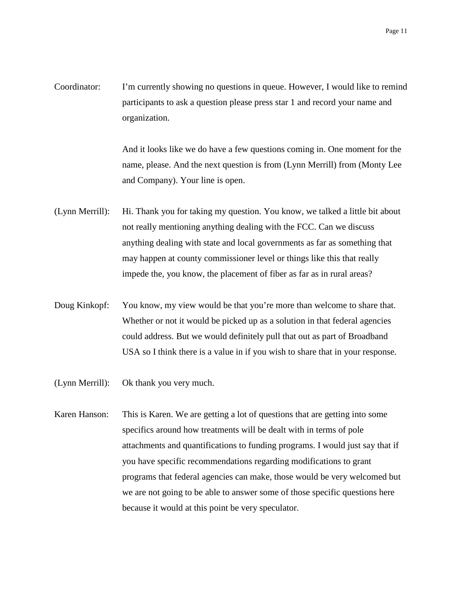Coordinator: I'm currently showing no questions in queue. However, I would like to remind participants to ask a question please press star 1 and record your name and organization.

> And it looks like we do have a few questions coming in. One moment for the name, please. And the next question is from (Lynn Merrill) from (Monty Lee and Company). Your line is open.

- (Lynn Merrill): Hi. Thank you for taking my question. You know, we talked a little bit about not really mentioning anything dealing with the FCC. Can we discuss anything dealing with state and local governments as far as something that may happen at county commissioner level or things like this that really impede the, you know, the placement of fiber as far as in rural areas?
- Doug Kinkopf: You know, my view would be that you're more than welcome to share that. Whether or not it would be picked up as a solution in that federal agencies could address. But we would definitely pull that out as part of Broadband USA so I think there is a value in if you wish to share that in your response.
- (Lynn Merrill): Ok thank you very much.
- Karen Hanson: This is Karen. We are getting a lot of questions that are getting into some specifics around how treatments will be dealt with in terms of pole attachments and quantifications to funding programs. I would just say that if you have specific recommendations regarding modifications to grant programs that federal agencies can make, those would be very welcomed but we are not going to be able to answer some of those specific questions here because it would at this point be very speculator.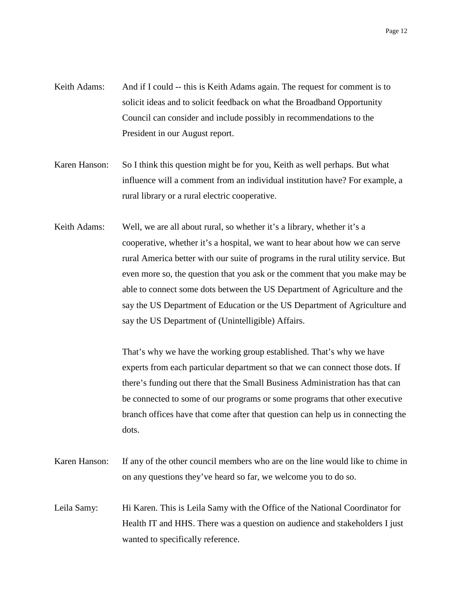- Keith Adams: And if I could -- this is Keith Adams again. The request for comment is to solicit ideas and to solicit feedback on what the Broadband Opportunity Council can consider and include possibly in recommendations to the President in our August report.
- Karen Hanson: So I think this question might be for you, Keith as well perhaps. But what influence will a comment from an individual institution have? For example, a rural library or a rural electric cooperative.
- Keith Adams: Well, we are all about rural, so whether it's a library, whether it's a cooperative, whether it's a hospital, we want to hear about how we can serve rural America better with our suite of programs in the rural utility service. But even more so, the question that you ask or the comment that you make may be able to connect some dots between the US Department of Agriculture and the say the US Department of Education or the US Department of Agriculture and say the US Department of (Unintelligible) Affairs.

That's why we have the working group established. That's why we have experts from each particular department so that we can connect those dots. If there's funding out there that the Small Business Administration has that can be connected to some of our programs or some programs that other executive branch offices have that come after that question can help us in connecting the dots.

- Karen Hanson: If any of the other council members who are on the line would like to chime in on any questions they've heard so far, we welcome you to do so.
- Leila Samy: Hi Karen. This is Leila Samy with the Office of the National Coordinator for Health IT and HHS. There was a question on audience and stakeholders I just wanted to specifically reference.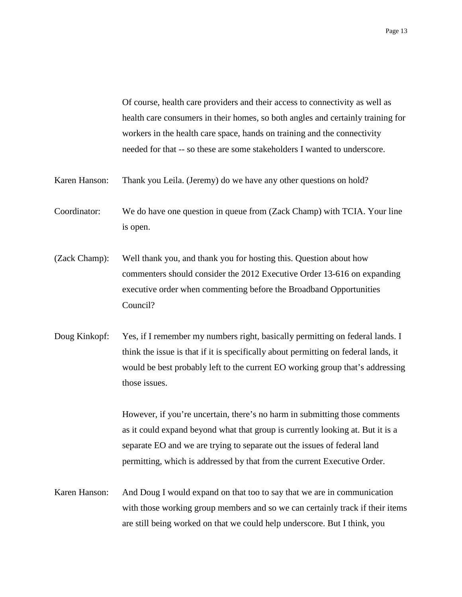Of course, health care providers and their access to connectivity as well as health care consumers in their homes, so both angles and certainly training for workers in the health care space, hands on training and the connectivity needed for that -- so these are some stakeholders I wanted to underscore.

Karen Hanson: Thank you Leila. (Jeremy) do we have any other questions on hold?

- Coordinator: We do have one question in queue from (Zack Champ) with TCIA. Your line is open.
- (Zack Champ): Well thank you, and thank you for hosting this. Question about how commenters should consider the 2012 Executive Order 13-616 on expanding executive order when commenting before the Broadband Opportunities Council?
- Doug Kinkopf: Yes, if I remember my numbers right, basically permitting on federal lands. I think the issue is that if it is specifically about permitting on federal lands, it would be best probably left to the current EO working group that's addressing those issues.

However, if you're uncertain, there's no harm in submitting those comments as it could expand beyond what that group is currently looking at. But it is a separate EO and we are trying to separate out the issues of federal land permitting, which is addressed by that from the current Executive Order.

Karen Hanson: And Doug I would expand on that too to say that we are in communication with those working group members and so we can certainly track if their items are still being worked on that we could help underscore. But I think, you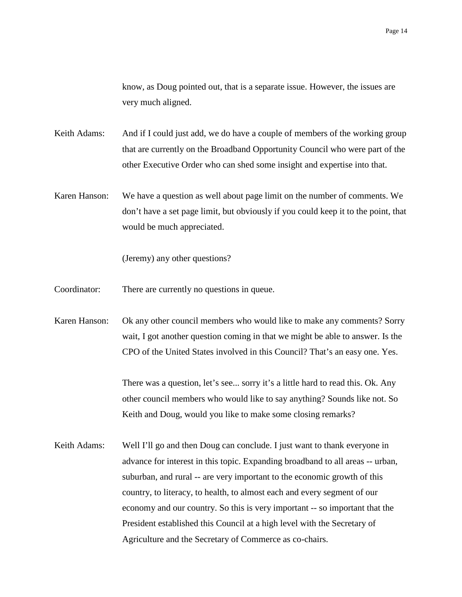know, as Doug pointed out, that is a separate issue. However, the issues are very much aligned.

- Keith Adams: And if I could just add, we do have a couple of members of the working group that are currently on the Broadband Opportunity Council who were part of the other Executive Order who can shed some insight and expertise into that.
- Karen Hanson: We have a question as well about page limit on the number of comments. We don't have a set page limit, but obviously if you could keep it to the point, that would be much appreciated.

(Jeremy) any other questions?

- Coordinator: There are currently no questions in queue.
- Karen Hanson: Ok any other council members who would like to make any comments? Sorry wait, I got another question coming in that we might be able to answer. Is the CPO of the United States involved in this Council? That's an easy one. Yes.

There was a question, let's see... sorry it's a little hard to read this. Ok. Any other council members who would like to say anything? Sounds like not. So Keith and Doug, would you like to make some closing remarks?

Keith Adams: Well I'll go and then Doug can conclude. I just want to thank everyone in advance for interest in this topic. Expanding broadband to all areas -- urban, suburban, and rural -- are very important to the economic growth of this country, to literacy, to health, to almost each and every segment of our economy and our country. So this is very important -- so important that the President established this Council at a high level with the Secretary of Agriculture and the Secretary of Commerce as co-chairs.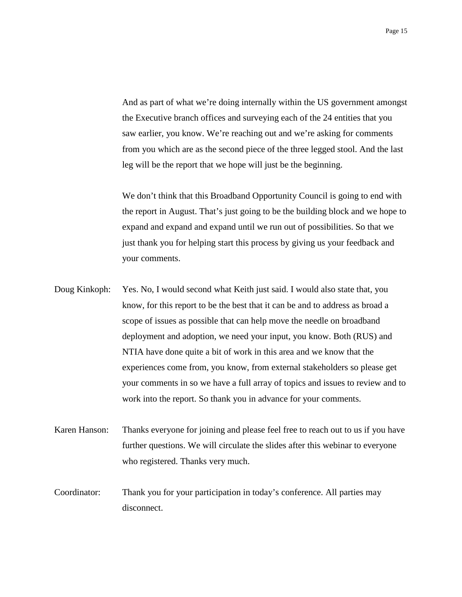And as part of what we're doing internally within the US government amongst the Executive branch offices and surveying each of the 24 entities that you saw earlier, you know. We're reaching out and we're asking for comments from you which are as the second piece of the three legged stool. And the last leg will be the report that we hope will just be the beginning.

We don't think that this Broadband Opportunity Council is going to end with the report in August. That's just going to be the building block and we hope to expand and expand and expand until we run out of possibilities. So that we just thank you for helping start this process by giving us your feedback and your comments.

- Doug Kinkoph: Yes. No, I would second what Keith just said. I would also state that, you know, for this report to be the best that it can be and to address as broad a scope of issues as possible that can help move the needle on broadband deployment and adoption, we need your input, you know. Both (RUS) and NTIA have done quite a bit of work in this area and we know that the experiences come from, you know, from external stakeholders so please get your comments in so we have a full array of topics and issues to review and to work into the report. So thank you in advance for your comments.
- Karen Hanson: Thanks everyone for joining and please feel free to reach out to us if you have further questions. We will circulate the slides after this webinar to everyone who registered. Thanks very much.
- Coordinator: Thank you for your participation in today's conference. All parties may disconnect.